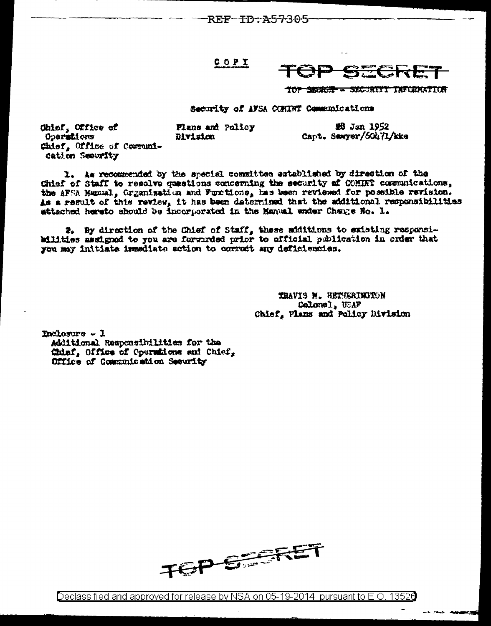REF-TD-A57305

## COPI



TOP SECRET - SECURITY INFORMATION

**鳃 Jan 1952** 

Capt. Sawyer/60471/kke

Security of AFSA CORINT Communications

Plans and Policy Ohief, Office of Operations Division Chief, Office of Communication Security

1. As recommended by the special committee established by direction of the Chief of Staff to resolve questions concerning the security of COMINT communications, the APSA Humual, Grganization and Functions, has been reviewed for possible revision. As a result of this review, it has been determined that the additional responsibilities sttached hereto should be incorporated in the Manual under Change No. 1.

2. By direction of the Chief of Staff, these additions to existing responsibilities assigned to you are forwarded prior to official publication in order that you may initiate immediate action to correct any deficiencies.

> TRAVIS M. HETHERINGTON Colonel, USAF Chief, Plans and Policy Division

 $$ 

Additional Responsibilities for the Chiaf, Office of Operations and Chief, Office of Communication Security



13526 Declassified and approved for release by NSA on 05-19-2014\_ pursuant to E.O.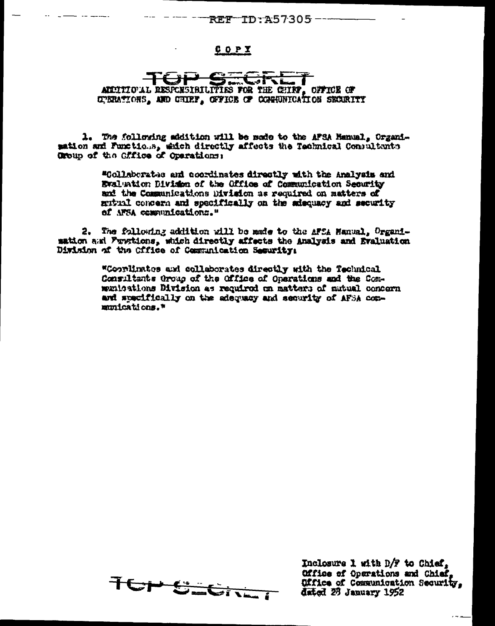## **REF-ID:A57305---**

 $COPX$ 

## CotVe I AUDITIONAL RESPONSIBILITIES FOR THE CHIRF, OFFICE OF OPERATIONS, AND CHIRF, OFFICE OF CONNUNICATION SECURITY

1. The following addition will be made to the AFSA Hanual, Organisation and Functious, which directly affects the Technical Compultants Group of the Cifice of Operations:

> "Collaborates and coordinates directly with the Analysis and Evaluation Division of the Office of Communication Security and the Communications Division as required on matters of mutual concern and specifically on the adequacy and security of NFSA communications."

2. The following addition will be made to the AFCA Hanual, Organisation and Functions, which directly affects the Analysis and Braluation Disision of the Cffice of Communication Security:

> "Coordinates and collaborates directly with the Technical Consultants Group of the Office of Operations and the Comwinigations Division as reguired on matters of mutual concern and specifically on the adequacy and security of AFSA communications.\*



Inclosure 1 with D/F to Chief. Office of Operations and Chief. Office of Communication Security. dated 23 January 1952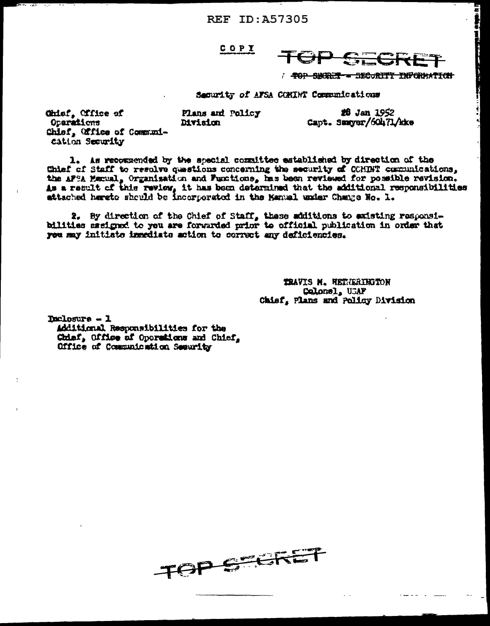**REF ID: A57305** 

COPY

Plans and Policy

Division

**SHORE -BECURITY INFORMATION** - 10 P

26 Jan 1952

Capt. Samyer/60471/kke

Security of AFSA COMINT Communications

Chief, Cffice of Operations Chief, Office of Communication Security

1. As recommended by the special committee established by direction of the Chief of Staff to resolve questions concerning the security of COMDNT communications, the AFSA Marual, Organisation and Functions, has been reviewed for possible revision.<br>As a regult of this review, it has been determined that the additional responsibilities attached hareto should be incorporated in the Manual under Change Ho. 1.

2. By direction of the Chief of Staff, these additions to existing responsibilities sasigned to you are forwarded prior to official publication in order that you may initiate inmediate action to correct any deficiencies.

> TRAVIS N. HETHERINGTON Calonel, USAF Chief, Plans and Policy Division

Declosure - 1

Additional Responsibilities for the Chief, Office of Operations and Chief. Office of Communication Security